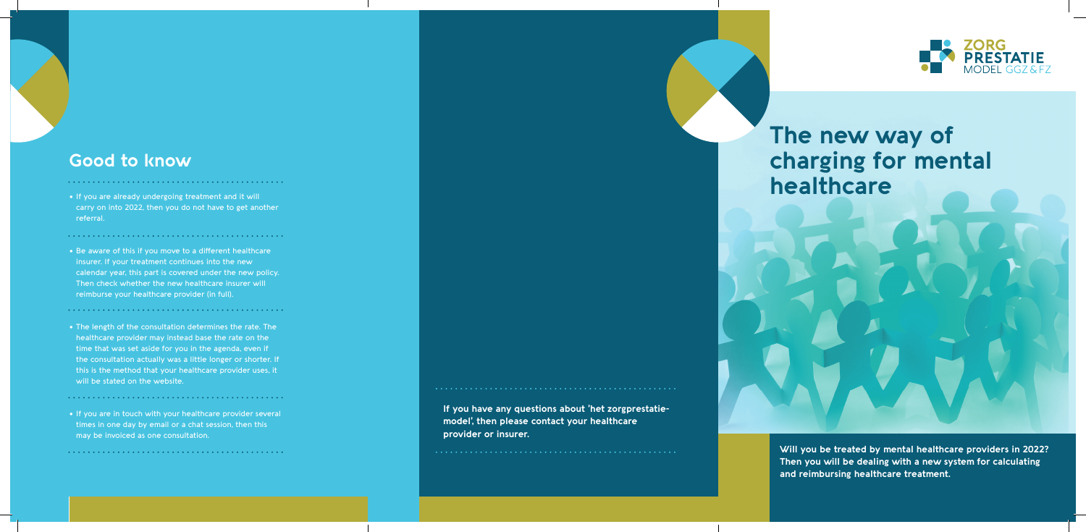# **The new way of charging for mental healthcare**

**Will you be treated by mental healthcare providers in 2022? Then you will be dealing with a new system for calculating and reimbursing healthcare treatment.**

**If you have any questions about 'het zorgprestatiemodel', then please contact your healthcare provider or insurer.**



# **Good to know**

• Be aware of this if you move to a different healthcare insurer. If your treatment continues into the new calendar year, this part is covered under the new policy. Then check whether the new healthcare insurer will reimburse your healthcare provider (in full).

• If you are already undergoing treatment and it will carry on into 2022, then you do not have to get another referral.

- The length of the consultation determines the rate. The healthcare provider may instead base the rate on the time that was set aside for you in the agenda, even if the consultation actually was a little longer or shorter. If this is the method that your healthcare provider uses, it will be stated on the website.
- If you are in touch with your healthcare provider several times in one day by email or a chat session, then this may be invoiced as one consultation.